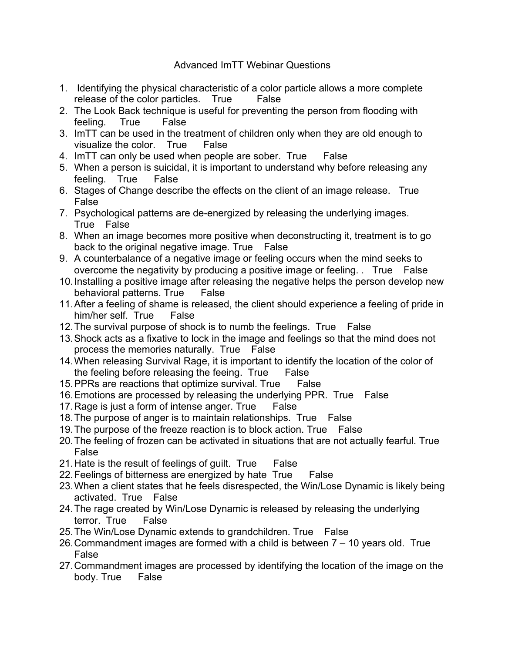## Advanced ImTT Webinar Questions

- 1. Identifying the physical characteristic of a color particle allows a more complete release of the color particles. True False
- 2. The Look Back technique is useful for preventing the person from flooding with feeling. True False
- 3. ImTT can be used in the treatment of children only when they are old enough to visualize the color. True False
- 4. ImTT can only be used when people are sober. True False
- 5. When a person is suicidal, it is important to understand why before releasing any feeling. True False
- 6. Stages of Change describe the effects on the client of an image release. True False
- 7. Psychological patterns are de-energized by releasing the underlying images. True False
- 8. When an image becomes more positive when deconstructing it, treatment is to go back to the original negative image. True False
- 9. A counterbalance of a negative image or feeling occurs when the mind seeks to overcome the negativity by producing a positive image or feeling. . True False
- 10.Installing a positive image after releasing the negative helps the person develop new behavioral patterns. True False
- 11.After a feeling of shame is released, the client should experience a feeling of pride in him/her self. True False
- 12.The survival purpose of shock is to numb the feelings. True False
- 13.Shock acts as a fixative to lock in the image and feelings so that the mind does not process the memories naturally. True False
- 14.When releasing Survival Rage, it is important to identify the location of the color of the feeling before releasing the feeing. True False
- 15.PPRs are reactions that optimize survival. True False
- 16.Emotions are processed by releasing the underlying PPR. True False
- 17. Rage is just a form of intense anger. True False
- 18.The purpose of anger is to maintain relationships. True False
- 19.The purpose of the freeze reaction is to block action. True False
- 20.The feeling of frozen can be activated in situations that are not actually fearful. True False
- 21.Hate is the result of feelings of guilt. True False
- 22. Feelings of bitterness are energized by hate True False
- 23.When a client states that he feels disrespected, the Win/Lose Dynamic is likely being activated. True False
- 24.The rage created by Win/Lose Dynamic is released by releasing the underlying terror. True False
- 25.The Win/Lose Dynamic extends to grandchildren. True False
- 26.Commandment images are formed with a child is between 7 10 years old. True False
- 27.Commandment images are processed by identifying the location of the image on the body. True False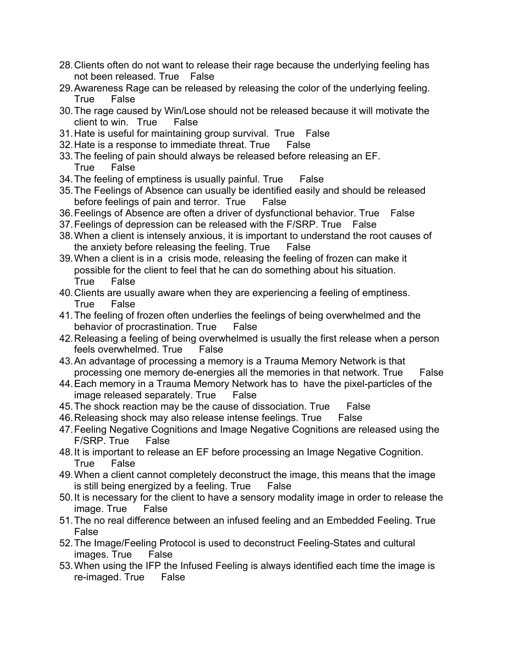- 28.Clients often do not want to release their rage because the underlying feeling has not been released. True False
- 29.Awareness Rage can be released by releasing the color of the underlying feeling. True False
- 30.The rage caused by Win/Lose should not be released because it will motivate the client to win. True False
- 31.Hate is useful for maintaining group survival. True False
- 32.Hate is a response to immediate threat. True False
- 33.The feeling of pain should always be released before releasing an EF. True False
- 34.The feeling of emptiness is usually painful. True False
- 35.The Feelings of Absence can usually be identified easily and should be released before feelings of pain and terror. True False
- 36.Feelings of Absence are often a driver of dysfunctional behavior. True False
- 37.Feelings of depression can be released with the F/SRP. True False
- 38.When a client is intensely anxious, it is important to understand the root causes of the anxiety before releasing the feeling. True False
- 39.When a client is in a crisis mode, releasing the feeling of frozen can make it possible for the client to feel that he can do something about his situation. True False
- 40.Clients are usually aware when they are experiencing a feeling of emptiness. True False
- 41.The feeling of frozen often underlies the feelings of being overwhelmed and the behavior of procrastination. True False
- 42.Releasing a feeling of being overwhelmed is usually the first release when a person feels overwhelmed. True False
- 43.An advantage of processing a memory is a Trauma Memory Network is that processing one memory de-energies all the memories in that network. True False
- 44.Each memory in a Trauma Memory Network has to have the pixel-particles of the image released separately. True False
- 45.The shock reaction may be the cause of dissociation. True False
- 46.Releasing shock may also release intense feelings. True False
- 47.Feeling Negative Cognitions and Image Negative Cognitions are released using the F/SRP. True False
- 48.It is important to release an EF before processing an Image Negative Cognition. True False
- 49.When a client cannot completely deconstruct the image, this means that the image is still being energized by a feeling. True False
- 50.It is necessary for the client to have a sensory modality image in order to release the image. True False
- 51.The no real difference between an infused feeling and an Embedded Feeling. True False
- 52.The Image/Feeling Protocol is used to deconstruct Feeling-States and cultural images. True False
- 53.When using the IFP the Infused Feeling is always identified each time the image is re-imaged. True False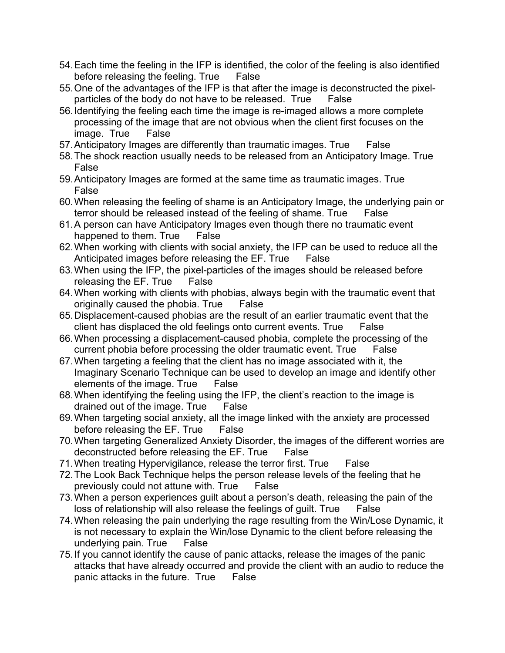- 54.Each time the feeling in the IFP is identified, the color of the feeling is also identified before releasing the feeling. True False
- 55.One of the advantages of the IFP is that after the image is deconstructed the pixelparticles of the body do not have to be released. True False
- 56.Identifying the feeling each time the image is re-imaged allows a more complete processing of the image that are not obvious when the client first focuses on the image. True False
- 57.Anticipatory Images are differently than traumatic images. True False
- 58.The shock reaction usually needs to be released from an Anticipatory Image. True False
- 59.Anticipatory Images are formed at the same time as traumatic images. True False
- 60.When releasing the feeling of shame is an Anticipatory Image, the underlying pain or terror should be released instead of the feeling of shame. True False
- 61.A person can have Anticipatory Images even though there no traumatic event happened to them. True False
- 62.When working with clients with social anxiety, the IFP can be used to reduce all the Anticipated images before releasing the EF. True False
- 63.When using the IFP, the pixel-particles of the images should be released before releasing the EF. True False
- 64.When working with clients with phobias, always begin with the traumatic event that originally caused the phobia. True False
- 65.Displacement-caused phobias are the result of an earlier traumatic event that the client has displaced the old feelings onto current events. True False
- 66.When processing a displacement-caused phobia, complete the processing of the current phobia before processing the older traumatic event. True False
- 67.When targeting a feeling that the client has no image associated with it, the Imaginary Scenario Technique can be used to develop an image and identify other elements of the image. True False
- 68.When identifying the feeling using the IFP, the client's reaction to the image is drained out of the image. True False
- 69.When targeting social anxiety, all the image linked with the anxiety are processed before releasing the EF. True False
- 70.When targeting Generalized Anxiety Disorder, the images of the different worries are deconstructed before releasing the EF. True False
- 71.When treating Hypervigilance, release the terror first. True False
- 72.The Look Back Technique helps the person release levels of the feeling that he previously could not attune with. True False
- 73.When a person experiences guilt about a person's death, releasing the pain of the loss of relationship will also release the feelings of guilt. True False
- 74.When releasing the pain underlying the rage resulting from the Win/Lose Dynamic, it is not necessary to explain the Win/lose Dynamic to the client before releasing the underlying pain. True False
- 75.If you cannot identify the cause of panic attacks, release the images of the panic attacks that have already occurred and provide the client with an audio to reduce the panic attacks in the future. True False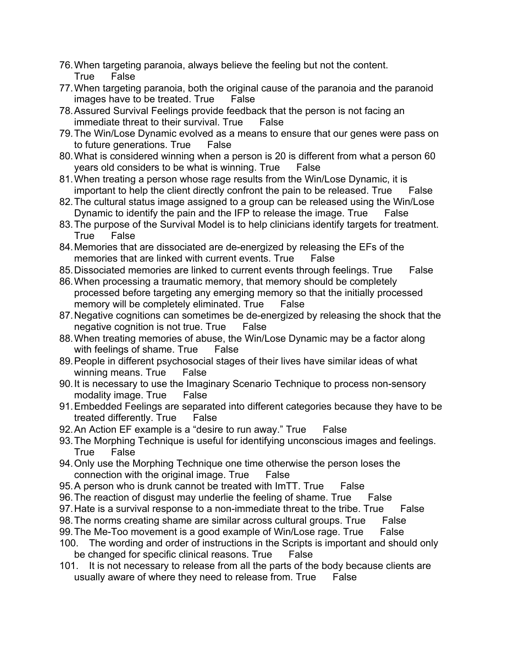- 76.When targeting paranoia, always believe the feeling but not the content. True False
- 77.When targeting paranoia, both the original cause of the paranoia and the paranoid images have to be treated. True False
- 78.Assured Survival Feelings provide feedback that the person is not facing an immediate threat to their survival. True False
- 79.The Win/Lose Dynamic evolved as a means to ensure that our genes were pass on to future generations. True False
- 80.What is considered winning when a person is 20 is different from what a person 60 years old considers to be what is winning. True False
- 81.When treating a person whose rage results from the Win/Lose Dynamic, it is important to help the client directly confront the pain to be released. True False
- 82.The cultural status image assigned to a group can be released using the Win/Lose Dynamic to identify the pain and the IFP to release the image. True False
- 83.The purpose of the Survival Model is to help clinicians identify targets for treatment. True False
- 84.Memories that are dissociated are de-energized by releasing the EFs of the memories that are linked with current events. True False
- 85. Dissociated memories are linked to current events through feelings. True False
- 86.When processing a traumatic memory, that memory should be completely processed before targeting any emerging memory so that the initially processed memory will be completely eliminated. True False
- 87.Negative cognitions can sometimes be de-energized by releasing the shock that the negative cognition is not true. True False
- 88.When treating memories of abuse, the Win/Lose Dynamic may be a factor along with feelings of shame. True False
- 89.People in different psychosocial stages of their lives have similar ideas of what winning means. True False
- 90.It is necessary to use the Imaginary Scenario Technique to process non-sensory modality image. True False
- 91.Embedded Feelings are separated into different categories because they have to be treated differently. True False
- 92.An Action EF example is a "desire to run away." True False
- 93.The Morphing Technique is useful for identifying unconscious images and feelings. True False
- 94.Only use the Morphing Technique one time otherwise the person loses the connection with the original image. True False
- 95.A person who is drunk cannot be treated with ImTT. True False
- 96. The reaction of disgust may underlie the feeling of shame. True False
- 97. Hate is a survival response to a non-immediate threat to the tribe. True False
- 98. The norms creating shame are similar across cultural groups. True False
- 99.The Me-Too movement is a good example of Win/Lose rage. True False
- 100. The wording and order of instructions in the Scripts is important and should only be changed for specific clinical reasons. True False
- 101. It is not necessary to release from all the parts of the body because clients are usually aware of where they need to release from. True False